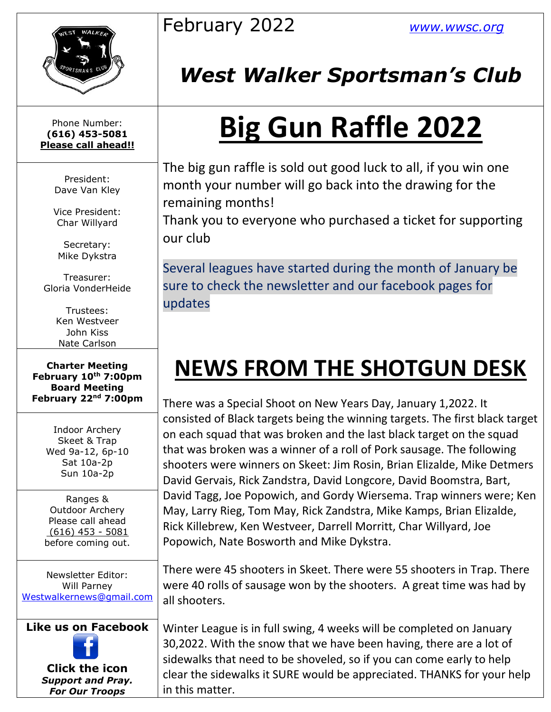

Phone Number: **(616) 453-5081 Please call ahead!!**

> President: Dave Van Kley

Vice President: Char Willyard

Secretary: Mike Dykstra

Treasurer: Gloria VonderHeide

> Trustees: Ken Westveer John Kiss Nate Carlson

**Charter Meeting February 10th 7:00pm Board Meeting February 22nd 7:00pm**

> Indoor Archery Skeet & Trap Wed 9a-12, 6p-10 Sat 10a-2p Sun 10a-2p

Ranges & Outdoor Archery Please call ahead (616) 453 - 5081 before coming out.

Newsletter Editor: Will Parney [Westwalkernews@gmail.com](mailto:Westwalkernews@gmail.com)

### **Like us on Facebook**

**Click [the](http://commons.wikimedia.org/wiki/file:facebook_shiny_icon.svg) icon** *Suppo[rt an](http://commons.wikimedia.org/wiki/file:facebook_shiny_icon.svg)d Pray. For [Our](http://commons.wikimedia.org/wiki/file:facebook_shiny_icon.svg) Troops*

### February 2022 *[www.wwsc.org](http://www.wwsc.org/)*

## *West Walker Sportsman's Club*

# **Big Gun Raffle 2022**

The big gun raffle is sold out good luck to all, if you win one month your number will go back into the drawing for the remaining months!

Thank you to everyone who purchased a ticket for supporting our club

Several leagues have started during the month of January be sure to check the newsletter and our facebook pages for updates

## **NEWS FROM THE SHOTGUN DESK**

There was a Special Shoot on New Years Day, January 1,2022. It consisted of Black targets being the winning targets. The first black target on each squad that was broken and the last black target on the squad that was broken was a winner of a roll of Pork sausage. The following shooters were winners on Skeet: Jim Rosin, Brian Elizalde, Mike Detmers David Gervais, Rick Zandstra, David Longcore, David Boomstra, Bart, David Tagg, Joe Popowich, and Gordy Wiersema. Trap winners were; Ken May, Larry Rieg, Tom May, Rick Zandstra, Mike Kamps, Brian Elizalde, Rick Killebrew, Ken Westveer, Darrell Morritt, Char Willyard, Joe Popowich, Nate Bosworth and Mike Dykstra.

There were 45 shooters in Skeet. There were 55 shooters in Trap. There were 40 rolls of sausage won by the shooters. A great time was had by all shooters.

Winter League is in full swing, 4 weeks will be completed on January 30,2022. With the snow that we have been having, there are a lot of sidewalks that need to be shoveled, so if you can come early to help clear the sidewalks it SURE would be appreciated. THANKS for your help in this matter.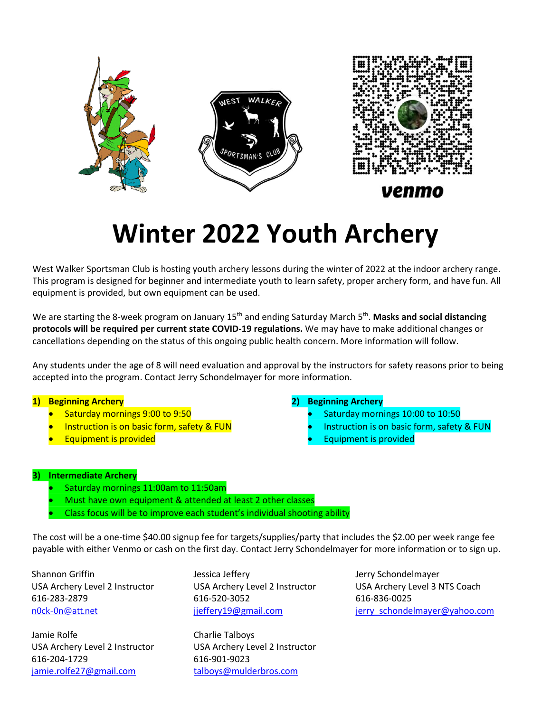



### venmo

# **Winter 2022 Youth Archery**

West Walker Sportsman Club is hosting youth archery lessons during the winter of 2022 at the indoor archery range. This program is designed for beginner and intermediate youth to learn safety, proper archery form, and have fun. All equipment is provided, but own equipment can be used.

We are starting the 8-week program on January 15<sup>th</sup> and ending Saturday March 5<sup>th</sup>. **Masks and social distancing protocols will be required per current state COVID-19 regulations.** We may have to make additional changes or cancellations depending on the status of this ongoing public health concern. More information will follow.

Any students under the age of 8 will need evaluation and approval by the instructors for safety reasons prior to being accepted into the program. Contact Jerry Schondelmayer for more information.

#### **1) Beginning Archery**

- •Saturday mornings 9:00 to 9:50
- •Instruction is on basic form, safety & FUN
- •Equipment is provided

#### **2) Beginning Archery**

- •Saturday mornings 10:00 to 10:50
- •Instruction is on basic form, safety & FUN
- •Equipment is provided

#### **3) Intermediate Archery**

- •Saturday mornings 11:00am to 11:50am
- •Must have own equipment & attended at least 2 other classes
- •Class focus will be to improve each student's individual shooting ability

The cost will be a one-time \$40.00 signup fee for targets/supplies/party that includes the \$2.00 per week range fee payable with either Venmo or cash on the first day. Contact Jerry Schondelmayer for more information or to sign up.

Jamie Rolfe Charlie Talboys Jamie Rolfe Charlie Talboys 616-204-1729 616-901-9023 616-204-1729 616-901-9023 jamie.rolfe27@gmail.com talboys@mulderbros.com [jamie.rolfe27@gmail.com](mailto:jamie.rolfe27@gmail.com) [talboys@mulderbros.com](mailto:talboys@mulderbros.com)

Shannon Griffin **Jessica Jeffery Schondelmayer** Jerry Schondelmayer 616-283-2879 616-520-3052 616-836-0025 616-283-2879 616-520-3052 616-836-0025

USA Archery Level 2 Instructor USA Archery Level 2 Instructor USA Archery Level 2 Instructor USA Archery Level 2 Instructor

USA Archery Level 2 Instructor USA Archery Level 2 Instructor USA Archery Level 3 NTS Coach USA Archery Level 2 Instructor USA Archery Level 2 Instructor USA Archery Level 3 NTS Coach [n0ck-0n@att.net](mailto:n0ck-0n@att.net) in the interpretation is effery19@gmail.com in the interpretation is entitled and interpretatio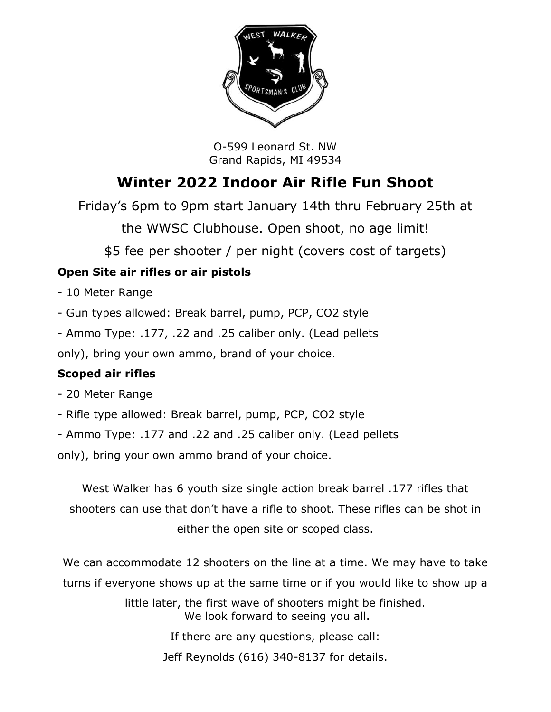

O-599 Leonard St. NW Grand Rapids, MI 49534

### **Winter 2022 Indoor Air Rifle Fun Shoot**

Friday's 6pm to 9pm start January 14th thru February 25th at

the WWSC Clubhouse. Open shoot, no age limit!

\$5 fee per shooter / per night (covers cost of targets)

### **Open Site air rifles or air pistols**

- 10 Meter Range
- Gun types allowed: Break barrel, pump, PCP, CO2 style
- Ammo Type: .177, .22 and .25 caliber only. (Lead pellets

only), bring your own ammo, brand of your choice.

### **Scoped air rifles**

- 20 Meter Range
- Rifle type allowed: Break barrel, pump, PCP, CO2 style
- Ammo Type: .177 and .22 and .25 caliber only. (Lead pellets

only), bring your own ammo brand of your choice.

West Walker has 6 youth size single action break barrel .177 rifles that shooters can use that don't have a rifle to shoot. These rifles can be shot in either the open site or scoped class.

We can accommodate 12 shooters on the line at a time. We may have to take turns if everyone shows up at the same time or if you would like to show up a

> little later, the first wave of shooters might be finished. We look forward to seeing you all.

> > If there are any questions, please call:

Jeff Reynolds (616) 340-8137 for details.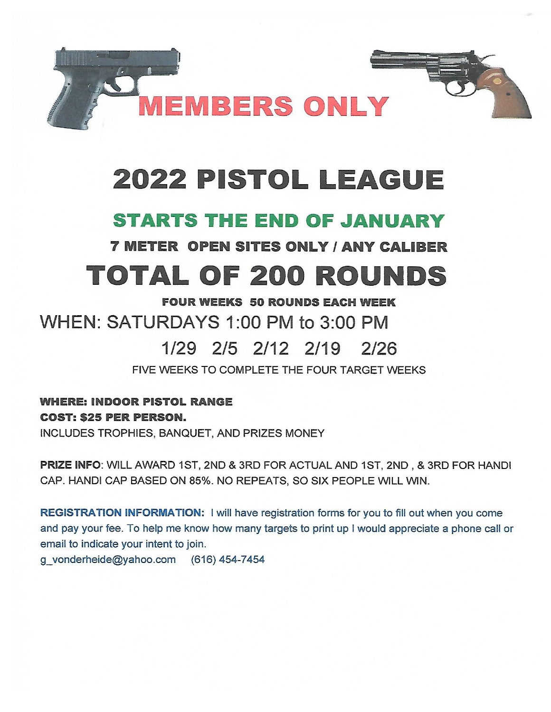

# 2022 PISTOL LEAGUE

### **STARTS THE END OF JANUARY**

**7 METER OPEN SITES ONLY / ANY CALIBER** 

# TOTAL OF 200 ROUNDS

#### **FOUR WEEKS 50 ROUNDS EACH WEEK**

WHEN: SATURDAYS 1:00 PM to 3:00 PM

#### 1/29 2/5 2/12 2/19  $2/26$

FIVE WEEKS TO COMPLETE THE FOUR TARGET WEEKS

### **WHERE: INDOOR PISTOL RANGE COST: \$25 PER PERSON.**

INCLUDES TROPHIES, BANQUET, AND PRIZES MONEY

PRIZE INFO: WILL AWARD 1ST, 2ND & 3RD FOR ACTUAL AND 1ST, 2ND, & 3RD FOR HANDI CAP. HANDI CAP BASED ON 85%. NO REPEATS, SO SIX PEOPLE WILL WIN.

REGISTRATION INFORMATION: I will have registration forms for you to fill out when you come and pay your fee. To help me know how many targets to print up I would appreciate a phone call or email to indicate your intent to join.

g vonderheide@yahoo.com (616) 454-7454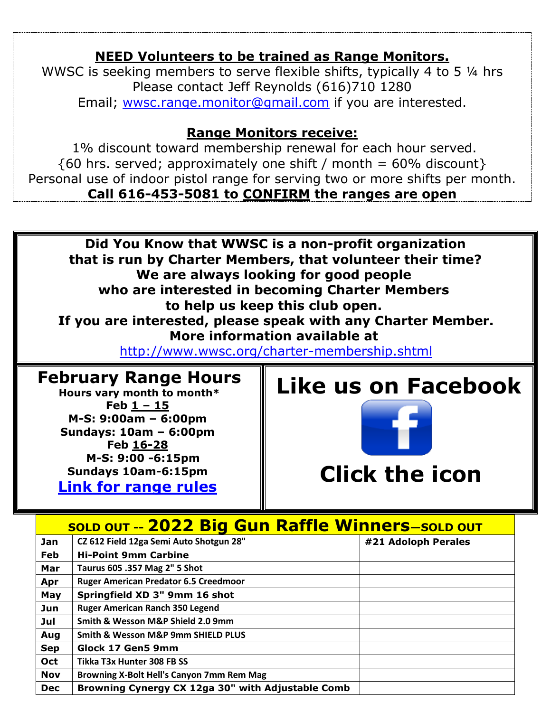### **NEED Volunteers to be trained as Range Monitors.**

WWSC is seeking members to serve flexible shifts, typically 4 to 5  $\frac{1}{4}$  hrs Please contact Jeff Reynolds (616)710 1280 Email; [wwsc.range.monitor@gmail.com](mailto:wwsc.range.monitor@gmail.com) if you are interested.

### **Range Monitors receive:**

1% discount toward membership renewal for each hour served.  $\{60 \text{ hrs. served}$ ; approximately one shift / month = 60% discount} Personal use of indoor pistol range for serving two or more shifts per month. **Call 616-453-5081 to CONFIRM the ranges are open**

**Did You Know that WWSC is a non-profit organization that is run by Charter Members, that volunteer their time? We are always looking for good people who are interested in becoming Charter Members to help us keep this club open. If you are interested, please speak with any Charter Member. More information available at** 

<http://www.wwsc.org/charter-membership.shtml>

### **February Range Hours**

**Hours vary month to month\* Feb 1 – 15 M-S: 9:00am – 6:00pm Sundays: 10am – 6:00pm Feb 16-28 M-S: 9:00 -6:15pm Sundays 10am-6:15pm [Link for range rules](http://www.wwsc.org/img/ranges/RangeRules.pdf)**

## **Like us on Facebook**



## **Clic[k th](http://commons.wikimedia.org/wiki/file:facebook_shiny_icon.svg)e icon**

| <b>SOLD OUT -- 2022 Big Gun Raffle Winners-SOLD OUT</b> |                                                   |                     |  |  |  |  |  |  |
|---------------------------------------------------------|---------------------------------------------------|---------------------|--|--|--|--|--|--|
| Jan                                                     | CZ 612 Field 12ga Semi Auto Shotgun 28"           | #21 Adoloph Perales |  |  |  |  |  |  |
| Feb                                                     | <b>Hi-Point 9mm Carbine</b>                       |                     |  |  |  |  |  |  |
| Mar                                                     | Taurus 605 .357 Mag 2" 5 Shot                     |                     |  |  |  |  |  |  |
| Apr                                                     | <b>Ruger American Predator 6.5 Creedmoor</b>      |                     |  |  |  |  |  |  |
| May                                                     | Springfield XD 3" 9mm 16 shot                     |                     |  |  |  |  |  |  |
| Jun                                                     | <b>Ruger American Ranch 350 Legend</b>            |                     |  |  |  |  |  |  |
| Jul                                                     | Smith & Wesson M&P Shield 2.0 9mm                 |                     |  |  |  |  |  |  |
| Aug                                                     | <b>Smith &amp; Wesson M&amp;P 9mm SHIELD PLUS</b> |                     |  |  |  |  |  |  |
| <b>Sep</b>                                              | Glock 17 Gen5 9mm                                 |                     |  |  |  |  |  |  |
| Oct                                                     | Tikka T3x Hunter 308 FB SS                        |                     |  |  |  |  |  |  |
| <b>Nov</b>                                              | Browning X-Bolt Hell's Canyon 7mm Rem Mag         |                     |  |  |  |  |  |  |
| <b>Dec</b>                                              | Browning Cynergy CX 12ga 30" with Adjustable Comb |                     |  |  |  |  |  |  |